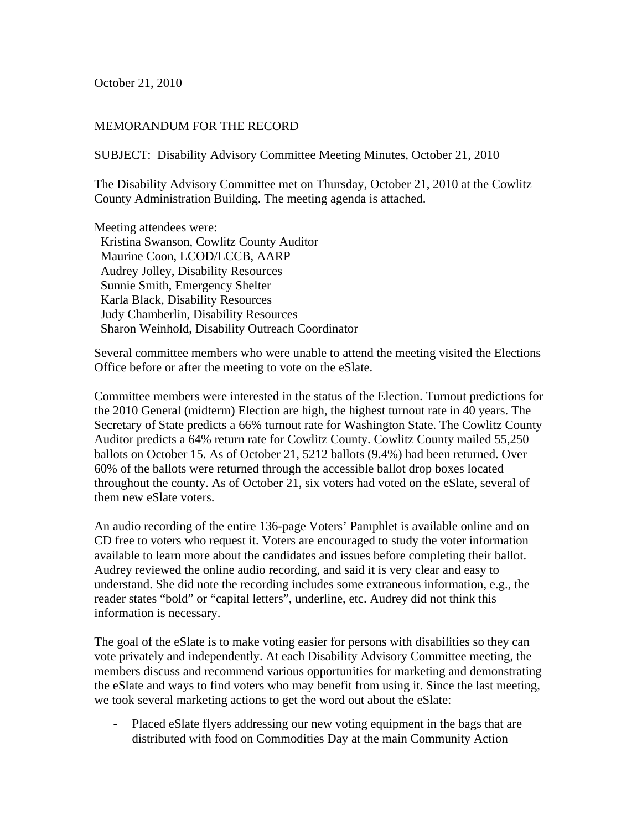October 21, 2010

## MEMORANDUM FOR THE RECORD

SUBJECT: Disability Advisory Committee Meeting Minutes, October 21, 2010

The Disability Advisory Committee met on Thursday, October 21, 2010 at the Cowlitz County Administration Building. The meeting agenda is attached.

Meeting attendees were: Kristina Swanson, Cowlitz County Auditor Maurine Coon, LCOD/LCCB, AARP Audrey Jolley, Disability Resources Sunnie Smith, Emergency Shelter Karla Black, Disability Resources Judy Chamberlin, Disability Resources Sharon Weinhold, Disability Outreach Coordinator

Several committee members who were unable to attend the meeting visited the Elections Office before or after the meeting to vote on the eSlate.

Committee members were interested in the status of the Election. Turnout predictions for the 2010 General (midterm) Election are high, the highest turnout rate in 40 years. The Secretary of State predicts a 66% turnout rate for Washington State. The Cowlitz County Auditor predicts a 64% return rate for Cowlitz County. Cowlitz County mailed 55,250 ballots on October 15. As of October 21, 5212 ballots (9.4%) had been returned. Over 60% of the ballots were returned through the accessible ballot drop boxes located throughout the county. As of October 21, six voters had voted on the eSlate, several of them new eSlate voters.

An audio recording of the entire 136-page Voters' Pamphlet is available online and on CD free to voters who request it. Voters are encouraged to study the voter information available to learn more about the candidates and issues before completing their ballot. Audrey reviewed the online audio recording, and said it is very clear and easy to understand. She did note the recording includes some extraneous information, e.g., the reader states "bold" or "capital letters", underline, etc. Audrey did not think this information is necessary.

The goal of the eSlate is to make voting easier for persons with disabilities so they can vote privately and independently. At each Disability Advisory Committee meeting, the members discuss and recommend various opportunities for marketing and demonstrating the eSlate and ways to find voters who may benefit from using it. Since the last meeting, we took several marketing actions to get the word out about the eSlate:

- Placed eSlate flyers addressing our new voting equipment in the bags that are distributed with food on Commodities Day at the main Community Action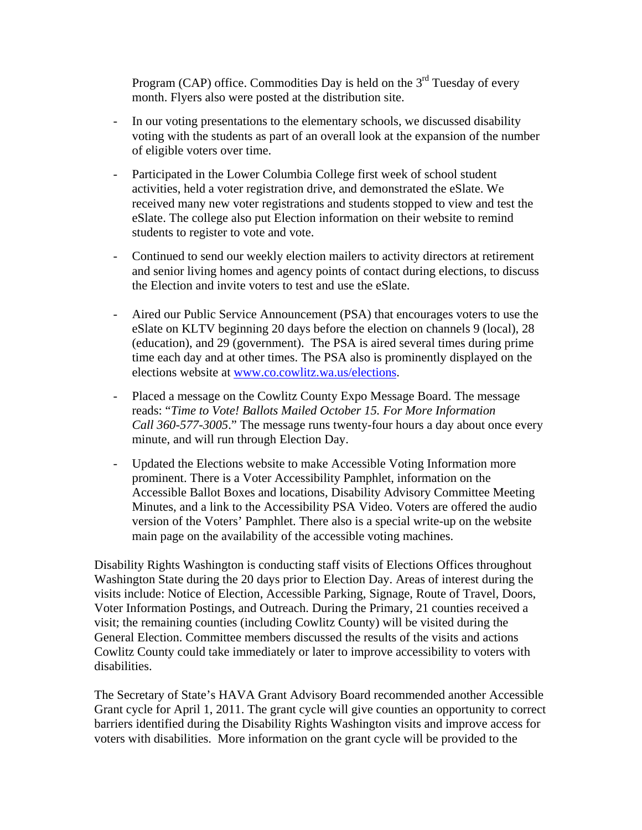Program (CAP) office. Commodities Day is held on the  $3<sup>rd</sup>$  Tuesday of every month. Flyers also were posted at the distribution site.

- In our voting presentations to the elementary schools, we discussed disability voting with the students as part of an overall look at the expansion of the number of eligible voters over time.
- Participated in the Lower Columbia College first week of school student activities, held a voter registration drive, and demonstrated the eSlate. We received many new voter registrations and students stopped to view and test the eSlate. The college also put Election information on their website to remind students to register to vote and vote.
- Continued to send our weekly election mailers to activity directors at retirement and senior living homes and agency points of contact during elections, to discuss the Election and invite voters to test and use the eSlate.
- Aired our Public Service Announcement (PSA) that encourages voters to use the eSlate on KLTV beginning 20 days before the election on channels 9 (local), 28 (education), and 29 (government). The PSA is aired several times during prime time each day and at other times. The PSA also is prominently displayed on the elections website at www.co.cowlitz.wa.us/elections.
- Placed a message on the Cowlitz County Expo Message Board. The message reads: "*Time to Vote! Ballots Mailed October 15. For More Information Call 360-577-3005*." The message runs twenty-four hours a day about once every minute, and will run through Election Day.
- Updated the Elections website to make Accessible Voting Information more prominent. There is a Voter Accessibility Pamphlet, information on the Accessible Ballot Boxes and locations, Disability Advisory Committee Meeting Minutes, and a link to the Accessibility PSA Video. Voters are offered the audio version of the Voters' Pamphlet. There also is a special write-up on the website main page on the availability of the accessible voting machines.

Disability Rights Washington is conducting staff visits of Elections Offices throughout Washington State during the 20 days prior to Election Day. Areas of interest during the visits include: Notice of Election, Accessible Parking, Signage, Route of Travel, Doors, Voter Information Postings, and Outreach. During the Primary, 21 counties received a visit; the remaining counties (including Cowlitz County) will be visited during the General Election. Committee members discussed the results of the visits and actions Cowlitz County could take immediately or later to improve accessibility to voters with disabilities.

The Secretary of State's HAVA Grant Advisory Board recommended another Accessible Grant cycle for April 1, 2011. The grant cycle will give counties an opportunity to correct barriers identified during the Disability Rights Washington visits and improve access for voters with disabilities. More information on the grant cycle will be provided to the